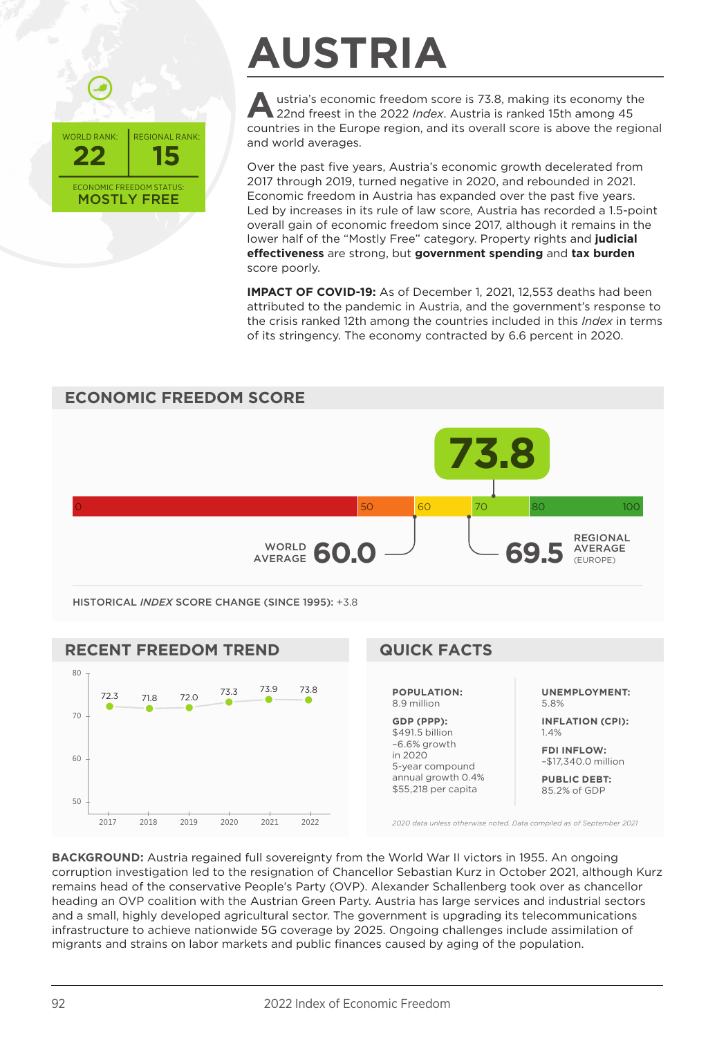

## **AUSTRIA**

Austria's economic freedom score is 73.8, making its economy the 22nd freest in the 2022 *Index*. Austria is ranked 15th among 45 countries in the Europe region, and its overall score is above the regional and world averages.

Over the past five years, Austria's economic growth decelerated from 2017 through 2019, turned negative in 2020, and rebounded in 2021. Economic freedom in Austria has expanded over the past five years. Led by increases in its rule of law score, Austria has recorded a 1.5-point overall gain of economic freedom since 2017, although it remains in the lower half of the "Mostly Free" category. Property rights and **judicial effectiveness** are strong, but **government spending** and **tax burden** score poorly.

**IMPACT OF COVID-19:** As of December 1, 2021, 12,553 deaths had been attributed to the pandemic in Austria, and the government's response to the crisis ranked 12th among the countries included in this *Index* in terms of its stringency. The economy contracted by 6.6 percent in 2020.



*2020 data unless otherwise noted. Data compiled as of September 2021*

**BACKGROUND:** Austria regained full sovereignty from the World War II victors in 1955. An ongoing corruption investigation led to the resignation of Chancellor Sebastian Kurz in October 2021, although Kurz remains head of the conservative People's Party (OVP). Alexander Schallenberg took over as chancellor heading an OVP coalition with the Austrian Green Party. Austria has large services and industrial sectors and a small, highly developed agricultural sector. The government is upgrading its telecommunications infrastructure to achieve nationwide 5G coverage by 2025. Ongoing challenges include assimilation of migrants and strains on labor markets and public finances caused by aging of the population.

2017 2018 2019 2020 2021 2022